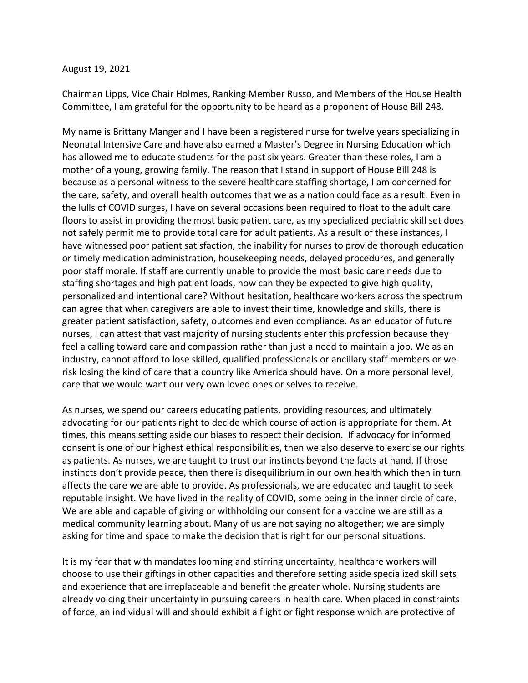## August 19, 2021

Chairman Lipps, Vice Chair Holmes, Ranking Member Russo, and Members of the House Health Committee, I am grateful for the opportunity to be heard as a proponent of House Bill 248.

My name is Brittany Manger and I have been a registered nurse for twelve years specializing in Neonatal Intensive Care and have also earned a Master's Degree in Nursing Education which has allowed me to educate students for the past six years. Greater than these roles, I am a mother of a young, growing family. The reason that I stand in support of House Bill 248 is because as a personal witness to the severe healthcare staffing shortage, I am concerned for the care, safety, and overall health outcomes that we as a nation could face as a result. Even in the lulls of COVID surges, I have on several occasions been required to float to the adult care floors to assist in providing the most basic patient care, as my specialized pediatric skill set does not safely permit me to provide total care for adult patients. As a result of these instances, I have witnessed poor patient satisfaction, the inability for nurses to provide thorough education or timely medication administration, housekeeping needs, delayed procedures, and generally poor staff morale. If staff are currently unable to provide the most basic care needs due to staffing shortages and high patient loads, how can they be expected to give high quality, personalized and intentional care? Without hesitation, healthcare workers across the spectrum can agree that when caregivers are able to invest their time, knowledge and skills, there is greater patient satisfaction, safety, outcomes and even compliance. As an educator of future nurses, I can attest that vast majority of nursing students enter this profession because they feel a calling toward care and compassion rather than just a need to maintain a job. We as an industry, cannot afford to lose skilled, qualified professionals or ancillary staff members or we risk losing the kind of care that a country like America should have. On a more personal level, care that we would want our very own loved ones or selves to receive.

As nurses, we spend our careers educating patients, providing resources, and ultimately advocating for our patients right to decide which course of action is appropriate for them. At times, this means setting aside our biases to respect their decision. If advocacy for informed consent is one of our highest ethical responsibilities, then we also deserve to exercise our rights as patients. As nurses, we are taught to trust our instincts beyond the facts at hand. If those instincts don't provide peace, then there is disequilibrium in our own health which then in turn affects the care we are able to provide. As professionals, we are educated and taught to seek reputable insight. We have lived in the reality of COVID, some being in the inner circle of care. We are able and capable of giving or withholding our consent for a vaccine we are still as a medical community learning about. Many of us are not saying no altogether; we are simply asking for time and space to make the decision that is right for our personal situations.

It is my fear that with mandates looming and stirring uncertainty, healthcare workers will choose to use their giftings in other capacities and therefore setting aside specialized skill sets and experience that are irreplaceable and benefit the greater whole. Nursing students are already voicing their uncertainty in pursuing careers in health care. When placed in constraints of force, an individual will and should exhibit a flight or fight response which are protective of